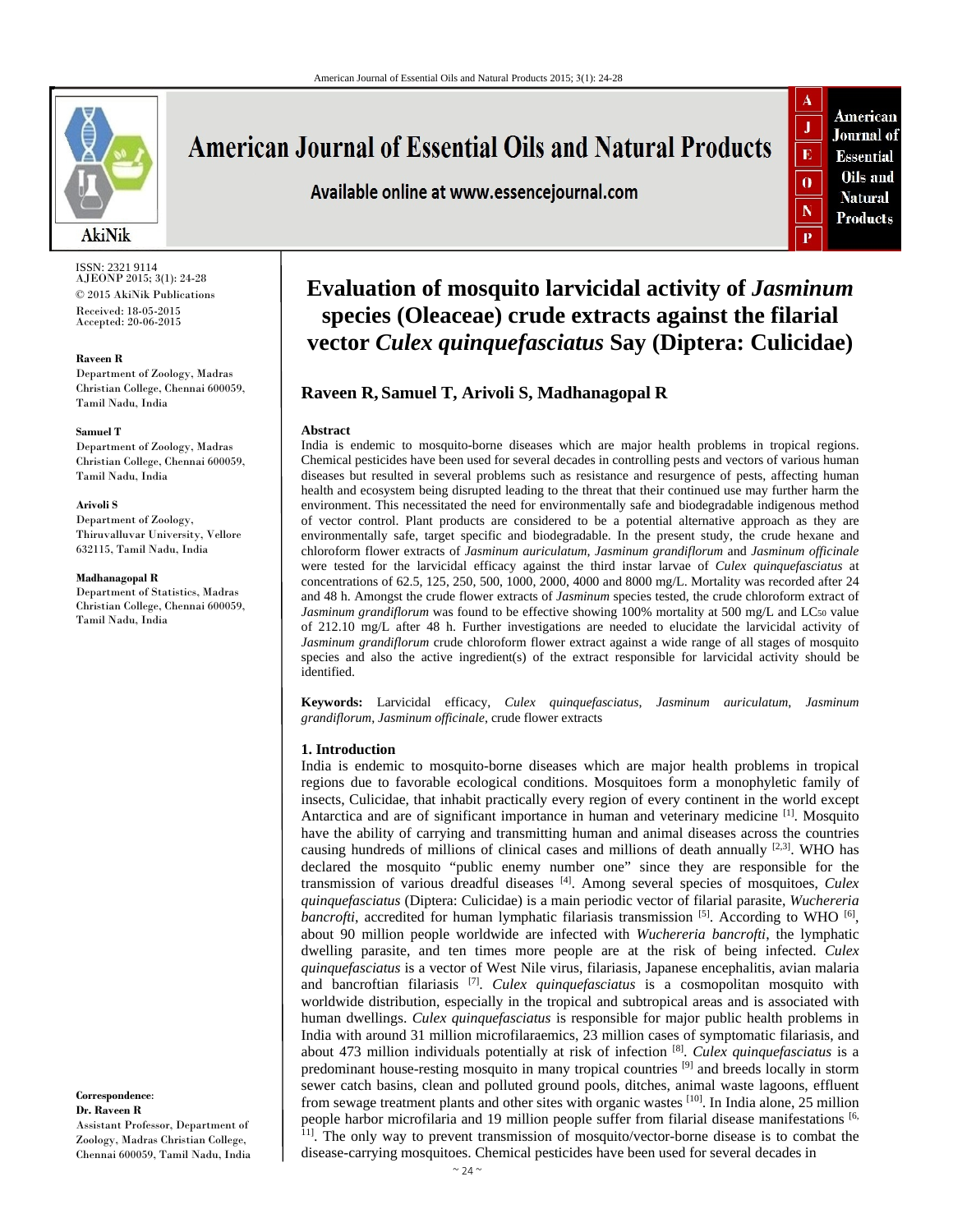

ISSN: 2321 9114 AJEONP 2015; 3(1): 24-28 © 2015 AkiNik Publications Received: 18-05-2015 Accepted: 20-06-2015

#### **Raveen R**

Department of Zoology, Madras Christian College, Chennai 600059, Tamil Nadu, India

#### **Samuel T**

Department of Zoology, Madras Christian College, Chennai 600059, Tamil Nadu, India

#### **Arivoli S**

Department of Zoology, Thiruvalluvar University, Vellore 632115, Tamil Nadu, India

#### **Madhanagopal R**

Department of Statistics, Madras Christian College, Chennai 600059, Tamil Nadu, India

**Correspondence**: **Dr. Raveen R** Assistant Professor, Department of Zoology, Madras Christian College, Chennai 600059, Tamil Nadu, India

# **American Journal of Essential Oils and Natural Products**

Available online at www.essencejournal.com

American Journal of **Essential** Oils and **Natural** Products

 $\mathbf{J}$ 

 $\overline{\mathbf{E}}$ 

 $\mathbf{0}$ 

 $\mathbb N$ 

# **Evaluation of mosquito larvicidal activity of** *Jasminum* **species (Oleaceae) crude extracts against the filarial vector** *Culex quinquefasciatus* **Say (Diptera: Culicidae)**

# **Raveen R, Samuel T, Arivoli S, Madhanagopal R**

#### **Abstract**

India is endemic to mosquito-borne diseases which are major health problems in tropical regions. Chemical pesticides have been used for several decades in controlling pests and vectors of various human diseases but resulted in several problems such as resistance and resurgence of pests, affecting human health and ecosystem being disrupted leading to the threat that their continued use may further harm the environment. This necessitated the need for environmentally safe and biodegradable indigenous method of vector control. Plant products are considered to be a potential alternative approach as they are environmentally safe, target specific and biodegradable. In the present study, the crude hexane and chloroform flower extracts of *Jasminum auriculatum*, *Jasminum grandiflorum* and *Jasminum officinale* were tested for the larvicidal efficacy against the third instar larvae of *Culex quinquefasciatus* at concentrations of 62.5, 125, 250, 500, 1000, 2000, 4000 and 8000 mg/L. Mortality was recorded after 24 and 48 h. Amongst the crude flower extracts of *Jasminum* species tested, the crude chloroform extract of *Jasminum grandiflorum* was found to be effective showing 100% mortality at 500 mg/L and LC50 value of 212.10 mg/L after 48 h. Further investigations are needed to elucidate the larvicidal activity of *Jasminum grandiflorum* crude chloroform flower extract against a wide range of all stages of mosquito species and also the active ingredient(s) of the extract responsible for larvicidal activity should be identified.

**Keywords:** Larvicidal efficacy, *Culex quinquefasciatus*, *Jasminum auriculatum*, *Jasminum grandiflorum*, *Jasminum officinale*, crude flower extracts

#### **1. Introduction**

India is endemic to mosquito-borne diseases which are major health problems in tropical regions due to favorable ecological conditions. Mosquitoes form a monophyletic family of insects, Culicidae, that inhabit practically every region of every continent in the world except Antarctica and are of significant importance in human and veterinary medicine [1]. Mosquito have the ability of carrying and transmitting human and animal diseases across the countries causing hundreds of millions of clinical cases and millions of death annually  $[2,3]$ . WHO has declared the mosquito "public enemy number one" since they are responsible for the transmission of various dreadful diseases [4]. Among several species of mosquitoes, *Culex quinquefasciatus* (Diptera: Culicidae) is a main periodic vector of filarial parasite, *Wuchereria bancrofti*, accredited for human lymphatic filariasis transmission  $[5]$ . According to WHO  $[6]$ , about 90 million people worldwide are infected with *Wuchereria bancrofti*, the lymphatic dwelling parasite, and ten times more people are at the risk of being infected. *Culex quinquefasciatus* is a vector of West Nile virus, filariasis, Japanese encephalitis, avian malaria and bancroftian filariasis [7]. *Culex quinquefasciatus* is a cosmopolitan mosquito with worldwide distribution, especially in the tropical and subtropical areas and is associated with human dwellings. *Culex quinquefasciatus* is responsible for major public health problems in India with around 31 million microfilaraemics, 23 million cases of symptomatic filariasis, and about 473 million individuals potentially at risk of infection [8]. *Culex quinquefasciatus* is a predominant house-resting mosquito in many tropical countries [9] and breeds locally in storm sewer catch basins, clean and polluted ground pools, ditches, animal waste lagoons, effluent from sewage treatment plants and other sites with organic wastes [10]. In India alone, 25 million people harbor microfilaria and 19 million people suffer from filarial disease manifestations [6, <sup>11]</sup>. The only way to prevent transmission of mosquito/vector-borne disease is to combat the disease-carrying mosquitoes. Chemical pesticides have been used for several decades in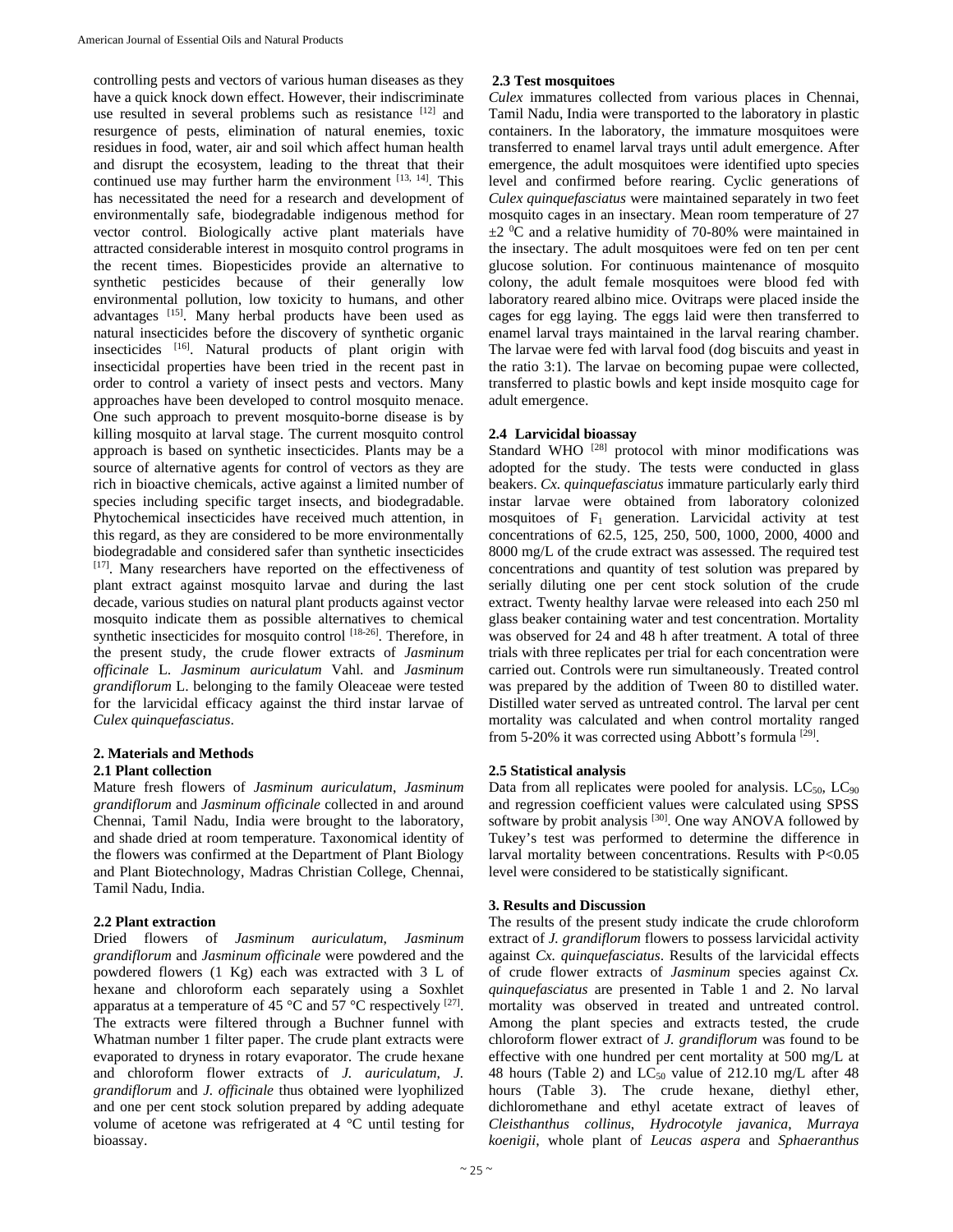controlling pests and vectors of various human diseases as they have a quick knock down effect. However, their indiscriminate use resulted in several problems such as resistance [12] and resurgence of pests, elimination of natural enemies, toxic residues in food, water, air and soil which affect human health and disrupt the ecosystem, leading to the threat that their continued use may further harm the environment [13, 14]. This has necessitated the need for a research and development of environmentally safe, biodegradable indigenous method for vector control. Biologically active plant materials have attracted considerable interest in mosquito control programs in the recent times. Biopesticides provide an alternative to synthetic pesticides because of their generally low environmental pollution, low toxicity to humans, and other advantages [15]. Many herbal products have been used as natural insecticides before the discovery of synthetic organic insecticides [16]. Natural products of plant origin with insecticidal properties have been tried in the recent past in order to control a variety of insect pests and vectors. Many approaches have been developed to control mosquito menace. One such approach to prevent mosquito-borne disease is by killing mosquito at larval stage. The current mosquito control approach is based on synthetic insecticides. Plants may be a source of alternative agents for control of vectors as they are rich in bioactive chemicals, active against a limited number of species including specific target insects, and biodegradable. Phytochemical insecticides have received much attention, in this regard, as they are considered to be more environmentally biodegradable and considered safer than synthetic insecticides [17]. Many researchers have reported on the effectiveness of plant extract against mosquito larvae and during the last decade, various studies on natural plant products against vector mosquito indicate them as possible alternatives to chemical synthetic insecticides for mosquito control [18-26]. Therefore, in the present study, the crude flower extracts of *Jasminum officinale* L. *Jasminum auriculatum* Vahl. and *Jasminum grandiflorum* L. belonging to the family Oleaceae were tested for the larvicidal efficacy against the third instar larvae of *Culex quinquefasciatus*.

#### **2. Materials and Methods 2.1 Plant collection**

Mature fresh flowers of *Jasminum auriculatum*, *Jasminum grandiflorum* and *Jasminum officinale* collected in and around Chennai, Tamil Nadu, India were brought to the laboratory, and shade dried at room temperature. Taxonomical identity of the flowers was confirmed at the Department of Plant Biology and Plant Biotechnology, Madras Christian College, Chennai, Tamil Nadu, India.

## **2.2 Plant extraction**

Dried flowers of *Jasminum auriculatum*, *Jasminum grandiflorum* and *Jasminum officinale* were powdered and the powdered flowers (1 Kg) each was extracted with 3 L of hexane and chloroform each separately using a Soxhlet apparatus at a temperature of 45  $^{\circ}$ C and 57  $^{\circ}$ C respectively [27]. The extracts were filtered through a Buchner funnel with Whatman number 1 filter paper. The crude plant extracts were evaporated to dryness in rotary evaporator. The crude hexane and chloroform flower extracts of *J. auriculatum*, *J. grandiflorum* and *J. officinale* thus obtained were lyophilized and one per cent stock solution prepared by adding adequate volume of acetone was refrigerated at 4 °C until testing for bioassay.

# **2.3 Test mosquitoes**

*Culex* immatures collected from various places in Chennai, Tamil Nadu, India were transported to the laboratory in plastic containers. In the laboratory, the immature mosquitoes were transferred to enamel larval trays until adult emergence. After emergence, the adult mosquitoes were identified upto species level and confirmed before rearing. Cyclic generations of *Culex quinquefasciatus* were maintained separately in two feet mosquito cages in an insectary. Mean room temperature of 27  $\pm$ 2 <sup>0</sup>C and a relative humidity of 70-80% were maintained in the insectary. The adult mosquitoes were fed on ten per cent glucose solution. For continuous maintenance of mosquito colony, the adult female mosquitoes were blood fed with laboratory reared albino mice. Ovitraps were placed inside the cages for egg laying. The eggs laid were then transferred to enamel larval trays maintained in the larval rearing chamber. The larvae were fed with larval food (dog biscuits and yeast in the ratio 3:1). The larvae on becoming pupae were collected, transferred to plastic bowls and kept inside mosquito cage for adult emergence.

# **2.4 Larvicidal bioassay**

Standard WHO <sup>[28]</sup> protocol with minor modifications was adopted for the study. The tests were conducted in glass beakers. *Cx. quinquefasciatus* immature particularly early third instar larvae were obtained from laboratory colonized mosquitoes of  $F_1$  generation. Larvicidal activity at test concentrations of 62.5, 125, 250, 500, 1000, 2000, 4000 and 8000 mg/L of the crude extract was assessed. The required test concentrations and quantity of test solution was prepared by serially diluting one per cent stock solution of the crude extract. Twenty healthy larvae were released into each 250 ml glass beaker containing water and test concentration. Mortality was observed for 24 and 48 h after treatment. A total of three trials with three replicates per trial for each concentration were carried out. Controls were run simultaneously. Treated control was prepared by the addition of Tween 80 to distilled water. Distilled water served as untreated control. The larval per cent mortality was calculated and when control mortality ranged from 5-20% it was corrected using Abbott's formula  $[29]$ .

# **2.5 Statistical analysis**

Data from all replicates were pooled for analysis.  $LC_{50}$ ,  $LC_{90}$ and regression coefficient values were calculated using SPSS software by probit analysis [30]. One way ANOVA followed by Tukey's test was performed to determine the difference in larval mortality between concentrations. Results with P<0.05 level were considered to be statistically significant.

## **3. Results and Discussion**

The results of the present study indicate the crude chloroform extract of *J. grandiflorum* flowers to possess larvicidal activity against *Cx. quinquefasciatus*. Results of the larvicidal effects of crude flower extracts of *Jasminum* species against *Cx. quinquefasciatus* are presented in Table 1 and 2. No larval mortality was observed in treated and untreated control. Among the plant species and extracts tested, the crude chloroform flower extract of *J. grandiflorum* was found to be effective with one hundred per cent mortality at 500 mg/L at 48 hours (Table 2) and  $LC_{50}$  value of 212.10 mg/L after 48 hours (Table 3). The crude hexane, diethyl ether, dichloromethane and ethyl acetate extract of leaves of *Cleisthanthus collinus*, *Hydrocotyle javanica*, *Murraya koenigii*, whole plant of *Leucas aspera* and *Sphaeranthus*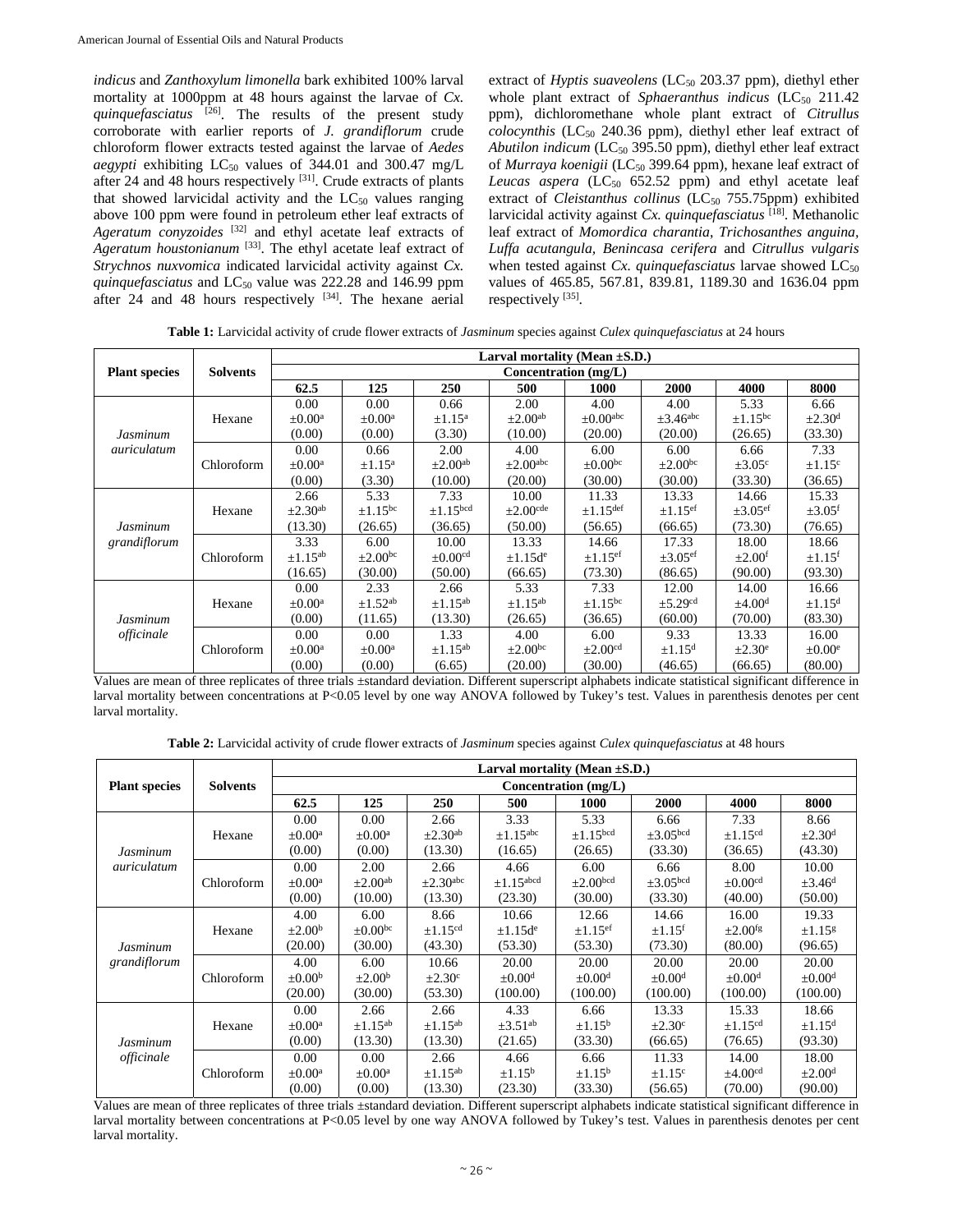*indicus* and *Zanthoxylum limonella* bark exhibited 100% larval mortality at 1000ppm at 48 hours against the larvae of *Cx. quinquefasciatus* [26]. The results of the present study corroborate with earlier reports of *J. grandiflorum* crude chloroform flower extracts tested against the larvae of *Aedes*  aegypti exhibiting LC<sub>50</sub> values of 344.01 and 300.47 mg/L after 24 and 48 hours respectively [31]. Crude extracts of plants that showed larvicidal activity and the  $LC_{50}$  values ranging above 100 ppm were found in petroleum ether leaf extracts of *Ageratum conyzoides* [32] and ethyl acetate leaf extracts of *Ageratum houstonianum* [33]. The ethyl acetate leaf extract of *Strychnos nuxvomica* indicated larvicidal activity against *Cx. quinquefasciatus* and LC<sub>50</sub> value was 222.28 and 146.99 ppm after 24 and 48 hours respectively [34]. The hexane aerial

extract of *Hyptis suaveolens* (LC<sub>50</sub> 203.37 ppm), diethyl ether whole plant extract of *Sphaeranthus indicus* ( $LC_{50}$  211.42 ppm), dichloromethane whole plant extract of *Citrullus*  $\alpha$ *colocynthis* (LC<sub>50</sub> 240.36 ppm), diethyl ether leaf extract of *Abutilon indicum* (LC50 395.50 ppm), diethyl ether leaf extract of *Murraya koenigii* (LC<sub>50</sub> 399.64 ppm), hexane leaf extract of Leucas  $a$ spera  $(LC_{50} 652.52$  ppm) and ethyl acetate leaf extract of *Cleistanthus collinus* (LC<sub>50</sub> 755.75ppm) exhibited larvicidal activity against *Cx. quinquefasciatus* [18]. Methanolic leaf extract of *Momordica charantia*, *Trichosanthes anguina, Luffa acutangula, Benincasa cerifera* and *Citrullus vulgaris*  when tested against *Cx. quinquefasciatus* larvae showed LC<sub>50</sub> values of 465.85, 567.81, 839.81, 1189.30 and 1636.04 ppm respectively [35].

**Table 1:** Larvicidal activity of crude flower extracts of *Jasminum* species against *Culex quinquefasciatus* at 24 hours

|                          | <b>Solvents</b> | Larval mortality (Mean $\pm$ S.D.) |                          |                          |                           |                          |                          |                          |                         |  |
|--------------------------|-----------------|------------------------------------|--------------------------|--------------------------|---------------------------|--------------------------|--------------------------|--------------------------|-------------------------|--|
| <b>Plant species</b>     |                 | Concentration (mg/L)               |                          |                          |                           |                          |                          |                          |                         |  |
|                          |                 | 62.5                               | 125                      | 250                      | 500                       | 1000                     | 2000                     | 4000                     | 8000                    |  |
| Jasminum<br>auriculatum  | Hexane          | 0.00                               | 0.00                     | 0.66                     | 2.00                      | 4.00                     | 4.00                     | 5.33                     | 6.66                    |  |
|                          |                 | $\pm 0.00^{\mathrm{a}}$            | $\pm 0.00^{\mathrm{a}}$  | $\pm 1.15^{\mathrm{a}}$  | $\pm 2.00^{\text{ab}}$    | $\pm 0.00^{\text{abc}}$  | $\pm 3.46^{\text{abc}}$  | $\pm 1.15^{\rm bc}$      | $\pm 2.30$ <sup>d</sup> |  |
|                          |                 | (0.00)                             | (0.00)                   | (3.30)                   | (10.00)                   | (20.00)                  | (20.00)                  | (26.65)                  | (33.30)                 |  |
|                          | Chloroform      | 0.00                               | 0.66                     | 2.00                     | 4.00                      | 6.00                     | 6.00                     | 6.66                     | 7.33                    |  |
|                          |                 | $\pm 0.00^{\mathrm{a}}$            | $\pm 1.15^{\mathrm{a}}$  | $\pm 2.00$ <sup>ab</sup> | $\pm 2.00$ <sup>abc</sup> | $\pm 0.00^{\rm bc}$      | $\pm 2.00^{\rm bc}$      | $\pm 3.05^{\circ}$       | $\pm 1.15$ <sup>c</sup> |  |
|                          |                 | (0.00)                             | (3.30)                   | (10.00)                  | (20.00)                   | (30.00)                  | (30.00)                  | (33.30)                  | (36.65)                 |  |
| Jasminum<br>grandiflorum | Hexane          | 2.66                               | 5.33                     | 7.33                     | 10.00                     | 11.33                    | 13.33                    | 14.66                    | 15.33                   |  |
|                          |                 | $\pm 2.30$ <sup>ab</sup>           | $\pm 1.15$ <sup>bc</sup> | $\pm 1.15$ bcd           | $\pm 2.00$ <sup>cde</sup> | $\pm 1.15^{\text{def}}$  | $\pm 1.15$ <sup>ef</sup> | $\pm 3.05$ <sup>ef</sup> | $\pm 3.05$ <sup>f</sup> |  |
|                          |                 | (13.30)                            | (26.65)                  | (36.65)                  | (50.00)                   | (56.65)                  | (66.65)                  | (73.30)                  | (76.65)                 |  |
|                          | Chloroform      | 3.33                               | 6.00                     | 10.00                    | 13.33                     | 14.66                    | 17.33                    | 18.00                    | 18.66                   |  |
|                          |                 | $\pm$ 1.15 <sup>ab</sup>           | $\pm 2.00^{\rm bc}$      | $\pm 0.00$ <sup>cd</sup> | $\pm 1.15d^e$             | $\pm 1.15$ <sup>ef</sup> | $\pm 3.05$ <sup>ef</sup> | $\pm 2.00$ <sup>f</sup>  | $\pm 1.15$ <sup>f</sup> |  |
|                          |                 | (16.65)                            | (30.00)                  | (50.00)                  | (66.65)                   | (73.30)                  | (86.65)                  | (90.00)                  | (93.30)                 |  |
| Jasminum<br>officinale   | Hexane          | 0.00                               | 2.33                     | 2.66                     | 5.33                      | 7.33                     | 12.00                    | 14.00                    | 16.66                   |  |
|                          |                 | $\pm 0.00^{\mathrm{a}}$            | $\pm$ 1.52 <sup>ab</sup> | $\pm 1.15^{ab}$          | $\pm 1.15^{ab}$           | $\pm 1.15^{\rm bc}$      | $\pm$ 5.29 <sup>cd</sup> | $\pm 4.00d$              | $\pm 1.15$ <sup>d</sup> |  |
|                          |                 | (0.00)                             | (11.65)                  | (13.30)                  | (26.65)                   | (36.65)                  | (60.00)                  | (70.00)                  | (83.30)                 |  |
|                          | Chloroform      | 0.00                               | 0.00                     | 1.33                     | 4.00                      | 6.00                     | 9.33                     | 13.33                    | 16.00                   |  |
|                          |                 | $\pm 0.00^{\mathrm{a}}$            | $\pm 0.00^{\text{a}}$    | $\pm$ 1.15 <sup>ab</sup> | $\pm 2.00^{\rm bc}$       | $\pm 2.00$ <sup>cd</sup> | $\pm 1.15$ <sup>d</sup>  | $\pm 2.30^{\circ}$       | $\pm 0.00^e$            |  |
|                          |                 | (0.00)                             | (0.00)                   | (6.65)                   | (20.00)                   | (30.00)                  | (46.65)                  | (66.65)                  | (80.00)                 |  |

Values are mean of three replicates of three trials ±standard deviation. Different superscript alphabets indicate statistical significant difference in larval mortality between concentrations at P<0.05 level by one way ANOVA followed by Tukey's test. Values in parenthesis denotes per cent larval mortality.

**Table 2:** Larvicidal activity of crude flower extracts of *Jasminum* species against *Culex quinquefasciatus* at 48 hours

| <b>Plant species</b>     | <b>Solvents</b> | Larval mortality (Mean $\pm$ S.D.) |                          |                          |                            |                           |                         |                          |                         |  |
|--------------------------|-----------------|------------------------------------|--------------------------|--------------------------|----------------------------|---------------------------|-------------------------|--------------------------|-------------------------|--|
|                          |                 | Concentration $(mg/L)$             |                          |                          |                            |                           |                         |                          |                         |  |
|                          |                 | 62.5                               | 125                      | <b>250</b>               | 500                        | <b>1000</b>               | 2000                    | 4000                     | 8000                    |  |
| Jasminum<br>auriculatum  | Hexane          | 0.00                               | 0.00                     | 2.66                     | 3.33                       | 5.33                      | 6.66                    | 7.33                     | 8.66                    |  |
|                          |                 | $\pm 0.00^{\text{a}}$              | $\pm 0.00^{\text{a}}$    | $\pm 2.30$ <sup>ab</sup> | $\pm 1.15^{\text{abc}}$    | $\pm 1.15$ <sup>bcd</sup> | $\pm 3.05$ bcd          | $\pm$ 1.15 <sup>cd</sup> | $\pm 2.30$ <sup>d</sup> |  |
|                          |                 | (0.00)                             | (0.00)                   | (13.30)                  | (16.65)                    | (26.65)                   | (33.30)                 | (36.65)                  | (43.30)                 |  |
|                          | Chloroform      | 0.00                               | 2.00                     | 2.66                     | 4.66                       | 6.00                      | 6.66                    | 8.00                     | 10.00                   |  |
|                          |                 | $\pm 0.00^{\mathrm{a}}$            | $\pm 2.00$ <sup>ab</sup> | $\pm 2.30^{\text{abc}}$  | $\pm$ 1.15 <sup>abcd</sup> | $\pm 2.00$ bcd            | $\pm 3.05$ bcd          | $\pm 0.00$ <sup>cd</sup> | $\pm 3.46$ <sup>d</sup> |  |
|                          |                 | (0.00)                             | (10.00)                  | (13.30)                  | (23.30)                    | (30.00)                   | (33.30)                 | (40.00)                  | (50.00)                 |  |
| Jasminum<br>grandiflorum | Hexane          | 4.00                               | 6.00                     | 8.66                     | 10.66                      | 12.66                     | 14.66                   | 16.00                    | 19.33                   |  |
|                          |                 | $\pm 2.00^{\rm b}$                 | $\pm 0.00^{\rm bc}$      | $\pm$ 1.15 <sup>cd</sup> | $\pm 1.15d^e$              | $\pm 1.15$ <sup>ef</sup>  | $\pm 1.15$ <sup>f</sup> | $\pm 2.00$ <sup>fg</sup> | $\pm 1.15$ <sup>g</sup> |  |
|                          |                 | (20.00)                            | (30.00)                  | (43.30)                  | (53.30)                    | (53.30)                   | (73.30)                 | (80.00)                  | (96.65)                 |  |
|                          | Chloroform      | 4.00                               | 6.00                     | 10.66                    | 20.00                      | 20.00                     | 20.00                   | 20.00                    | 20.00                   |  |
|                          |                 | $\pm 0.00^{\rm b}$                 | $\pm 2.00^{\mathrm{b}}$  | $\pm 2.30^{\circ}$       | $\pm 0.00d$                | $\pm 0.00d$               | $\pm 0.00^{\mathrm{d}}$ | $\pm 0.00d$              | $\pm 0.00d$             |  |
|                          |                 | (20.00)                            | (30.00)                  | (53.30)                  | (100.00)                   | (100.00)                  | (100.00)                | (100.00)                 | (100.00)                |  |
| Jasminum<br>officinale   | Hexane          | 0.00                               | 2.66                     | 2.66                     | 4.33                       | 6.66                      | 13.33                   | 15.33                    | 18.66                   |  |
|                          |                 | $\pm 0.00^{\mathrm{a}}$            | $\pm$ 1.15 <sup>ab</sup> | $\pm 1.15^{ab}$          | $\pm 3.51$ <sup>ab</sup>   | $\pm 1.15^{\rm b}$        | $\pm 2.30^{\circ}$      | $\pm 1.15$ <sup>cd</sup> | $\pm$ 1.15 <sup>d</sup> |  |
|                          |                 | (0.00)                             | (13.30)                  | (13.30)                  | (21.65)                    | (33.30)                   | (66.65)                 | (76.65)                  | (93.30)                 |  |
|                          | Chloroform      | 0.00                               | 0.00                     | 2.66                     | 4.66                       | 6.66                      | 11.33                   | 14.00                    | 18.00                   |  |
|                          |                 | $\pm 0.00^{\mathrm{a}}$            | $\pm 0.00^{\text{a}}$    | $\pm$ 1.15 <sup>ab</sup> | $\pm 1.15^b$               | $\pm 1.15^{\rm b}$        | $\pm 1.15$ <sup>c</sup> | $\pm 4.00$ <sup>cd</sup> | $\pm 2.00d$             |  |
|                          |                 | (0.00)                             | (0.00)                   | (13.30)                  | (23.30)                    | (33.30)                   | (56.65)                 | (70.00)                  | (90.00)                 |  |

Values are mean of three replicates of three trials ±standard deviation. Different superscript alphabets indicate statistical significant difference in larval mortality between concentrations at P<0.05 level by one way ANOVA followed by Tukey's test. Values in parenthesis denotes per cent larval mortality.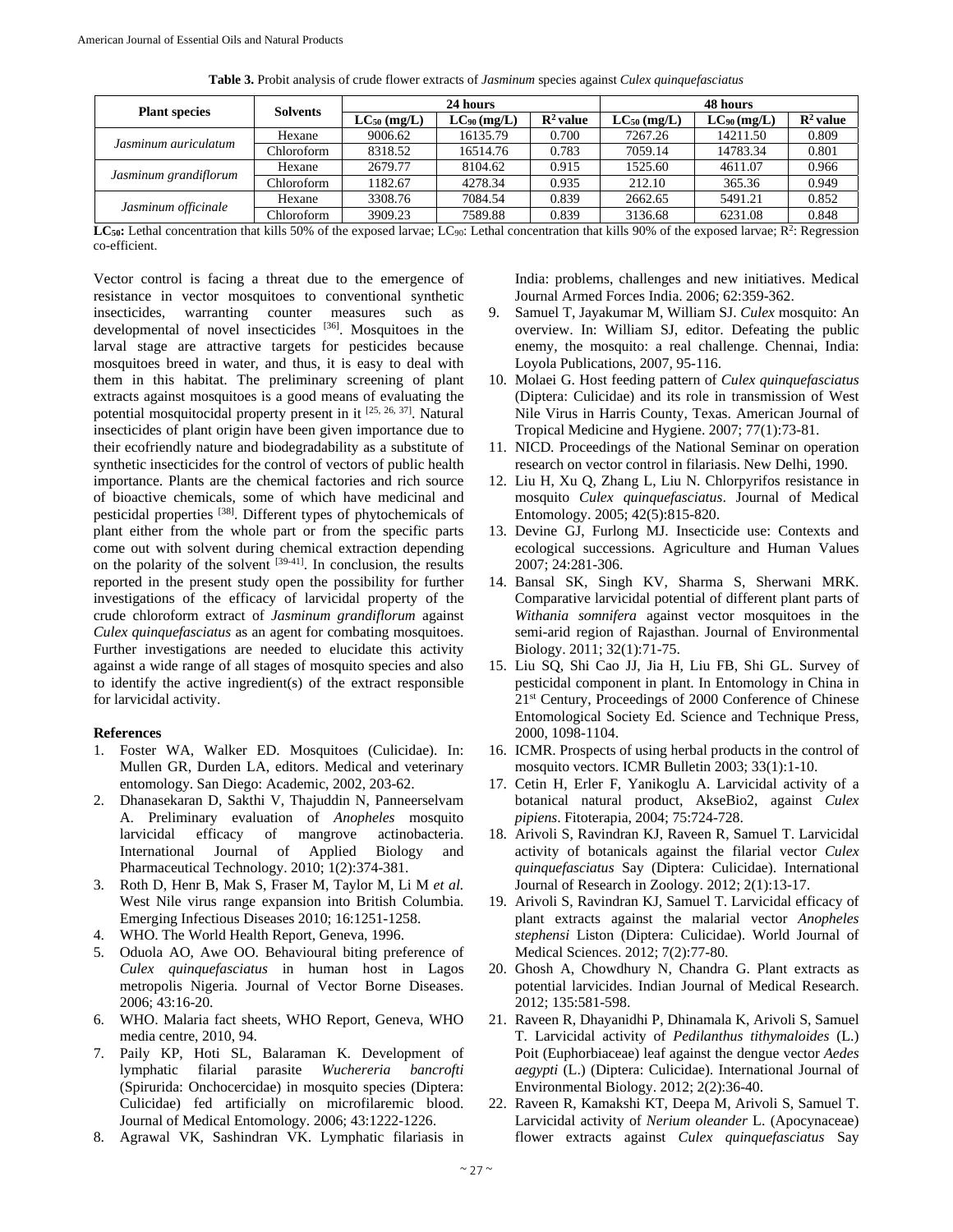| <b>Table 3.</b> I foolt analysis of cluud flower extracts of <i>Justinium</i> species against C <i>utex quinque fusculum</i> s |                 |                  |                  |                      |                  |                  |                      |  |  |  |
|--------------------------------------------------------------------------------------------------------------------------------|-----------------|------------------|------------------|----------------------|------------------|------------------|----------------------|--|--|--|
|                                                                                                                                |                 |                  | 24 hours         |                      | 48 hours         |                  |                      |  |  |  |
| <b>Plant species</b>                                                                                                           | <b>Solvents</b> | $LC_{50}$ (mg/L) | $LC_{90}$ (mg/L) | $\mathbb{R}^2$ value | $LC_{50}$ (mg/L) | $LC_{90}$ (mg/L) | $\mathbb{R}^2$ value |  |  |  |
| Jasminum auriculatum                                                                                                           | Hexane          | 9006.62          | 16135.79         | 0.700                | 7267.26          | 14211.50         | 0.809                |  |  |  |
|                                                                                                                                | Chloroform      | 8318.52          | 16514.76         | 0.783                | 7059.14          | 14783.34         | 0.801                |  |  |  |
| Jasminum grandiflorum                                                                                                          | Hexane          | 2679.77          | 8104.62          | 0.915                | 1525.60          | 4611.07          | 0.966                |  |  |  |
|                                                                                                                                | Chloroform      | 1182.67          | 4278.34          | 0.935                | 212.10           | 365.36           | 0.949                |  |  |  |
| Jasminum officinale                                                                                                            | Hexane          | 3308.76          | 7084.54          | 0.839                | 2662.65          | 5491.21          | 0.852                |  |  |  |
|                                                                                                                                | C1.1C           | 2000.22          | 750000           | 0.020                | 212660           | (22100           | 0.010                |  |  |  |

**Table 3.** Probit analysis of crude flower extracts of *Jasminum* species against *Culex quinquefasciatus*

LC<sub>50</sub>: Lethal concentration that kills 50% of the exposed larvae; LC<sub>90</sub>: Lethal concentration that kills 90% of the exposed larvae; R<sup>2</sup>: Regression co-efficient.

Chloroform 3909.23 7589.88 0.839 3136.68 6231.08 0.848

Vector control is facing a threat due to the emergence of resistance in vector mosquitoes to conventional synthetic insecticides, warranting counter measures such as developmental of novel insecticides [36]. Mosquitoes in the larval stage are attractive targets for pesticides because mosquitoes breed in water, and thus, it is easy to deal with them in this habitat. The preliminary screening of plant extracts against mosquitoes is a good means of evaluating the potential mosquitocidal property present in it [25, 26, 37]. Natural insecticides of plant origin have been given importance due to their ecofriendly nature and biodegradability as a substitute of synthetic insecticides for the control of vectors of public health importance. Plants are the chemical factories and rich source of bioactive chemicals, some of which have medicinal and pesticidal properties [38]. Different types of phytochemicals of plant either from the whole part or from the specific parts come out with solvent during chemical extraction depending on the polarity of the solvent  $[39-41]$ . In conclusion, the results reported in the present study open the possibility for further investigations of the efficacy of larvicidal property of the crude chloroform extract of *Jasminum grandiflorum* against *Culex quinquefasciatus* as an agent for combating mosquitoes. Further investigations are needed to elucidate this activity against a wide range of all stages of mosquito species and also to identify the active ingredient(s) of the extract responsible for larvicidal activity.

#### **References**

- 1. Foster WA, Walker ED. Mosquitoes (Culicidae). In: Mullen GR, Durden LA, editors. Medical and veterinary entomology. San Diego: Academic, 2002, 203-62.
- 2. Dhanasekaran D, Sakthi V, Thajuddin N, Panneerselvam A. Preliminary evaluation of *Anopheles* mosquito larvicidal efficacy of mangrove actinobacteria. International Journal of Applied Biology and Pharmaceutical Technology. 2010; 1(2):374-381.
- 3. Roth D, Henr B, Mak S, Fraser M, Taylor M, Li M *et al.* West Nile virus range expansion into British Columbia. Emerging Infectious Diseases 2010; 16:1251-1258.
- 4. WHO. The World Health Report, Geneva, 1996.
- 5. Oduola AO, Awe OO. Behavioural biting preference of *Culex quinquefasciatus* in human host in Lagos metropolis Nigeria*.* Journal of Vector Borne Diseases. 2006; 43:16-20.
- 6. WHO. Malaria fact sheets, WHO Report, Geneva, WHO media centre, 2010, 94.
- 7. Paily KP, Hoti SL, Balaraman K. Development of lymphatic filarial parasite *Wuchereria bancrofti*  (Spirurida: Onchocercidae) in mosquito species (Diptera: Culicidae) fed artificially on microfilaremic blood. Journal of Medical Entomology. 2006; 43:1222-1226.
- 8. Agrawal VK, Sashindran VK. Lymphatic filariasis in

India: problems, challenges and new initiatives. Medical Journal Armed Forces India. 2006; 62:359-362.

- 9. Samuel T, Jayakumar M, William SJ. *Culex* mosquito: An overview. In: William SJ, editor. Defeating the public enemy, the mosquito: a real challenge. Chennai, India: Loyola Publications, 2007, 95-116.
- 10. Molaei G. Host feeding pattern of *Culex quinquefasciatus* (Diptera: Culicidae) and its role in transmission of West Nile Virus in Harris County, Texas. American Journal of Tropical Medicine and Hygiene. 2007; 77(1):73-81.
- 11. NICD. Proceedings of the National Seminar on operation research on vector control in filariasis. New Delhi, 1990.
- 12. Liu H, Xu Q, Zhang L, Liu N. Chlorpyrifos resistance in mosquito *Culex quinquefasciatus*. Journal of Medical Entomology. 2005; 42(5):815-820.
- 13. Devine GJ, Furlong MJ. Insecticide use: Contexts and ecological successions. Agriculture and Human Values 2007; 24:281-306.
- 14. Bansal SK, Singh KV, Sharma S, Sherwani MRK. Comparative larvicidal potential of different plant parts of *Withania somnifera* against vector mosquitoes in the semi-arid region of Rajasthan. Journal of Environmental Biology. 2011; 32(1):71-75.
- 15. Liu SQ, Shi Cao JJ, Jia H, Liu FB, Shi GL. Survey of pesticidal component in plant. In Entomology in China in 21st Century, Proceedings of 2000 Conference of Chinese Entomological Society Ed. Science and Technique Press, 2000, 1098-1104.
- 16. ICMR. Prospects of using herbal products in the control of mosquito vectors. ICMR Bulletin 2003; 33(1):1-10.
- 17. Cetin H, Erler F, Yanikoglu A. Larvicidal activity of a botanical natural product, AkseBio2, against *Culex pipiens*. Fitoterapia, 2004; 75:724-728.
- 18. Arivoli S, Ravindran KJ, Raveen R, Samuel T. Larvicidal activity of botanicals against the filarial vector *Culex quinquefasciatus* Say (Diptera: Culicidae). International Journal of Research in Zoology. 2012; 2(1):13-17.
- 19. Arivoli S, Ravindran KJ, Samuel T. Larvicidal efficacy of plant extracts against the malarial vector *Anopheles stephensi* Liston (Diptera: Culicidae). World Journal of Medical Sciences. 2012; 7(2):77-80.
- 20. Ghosh A, Chowdhury N, Chandra G. Plant extracts as potential larvicides. Indian Journal of Medical Research. 2012; 135:581-598.
- 21. Raveen R, Dhayanidhi P, Dhinamala K, Arivoli S, Samuel T. Larvicidal activity of *Pedilanthus tithymaloides* (L.) Poit (Euphorbiaceae) leaf against the dengue vector *Aedes aegypti* (L.) (Diptera: Culicidae). International Journal of Environmental Biology. 2012; 2(2):36-40.
- 22. Raveen R, Kamakshi KT, Deepa M, Arivoli S, Samuel T. Larvicidal activity of *Nerium oleander* L. (Apocynaceae) flower extracts against *Culex quinquefasciatus* Say